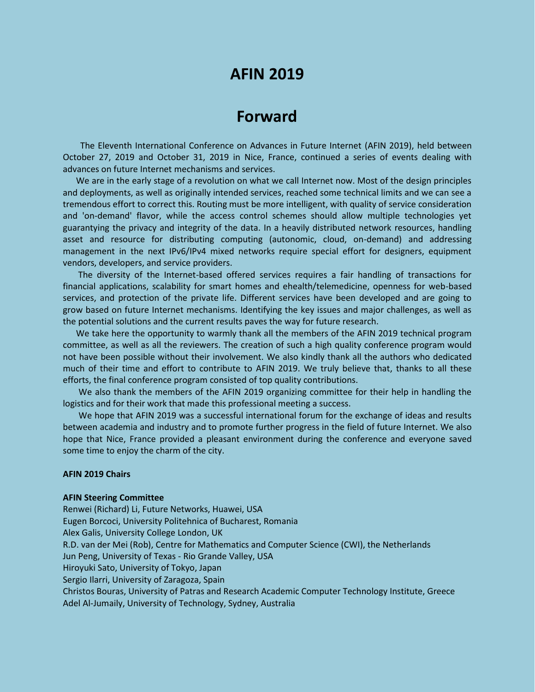## **AFIN 2019**

# **Forward**

The Eleventh International Conference on Advances in Future Internet (AFIN 2019), held between October 27, 2019 and October 31, 2019 in Nice, France, continued a series of events dealing with advances on future Internet mechanisms and services.

We are in the early stage of a revolution on what we call Internet now. Most of the design principles and deployments, as well as originally intended services, reached some technical limits and we can see a tremendous effort to correct this. Routing must be more intelligent, with quality of service consideration and 'on-demand' flavor, while the access control schemes should allow multiple technologies yet guarantying the privacy and integrity of the data. In a heavily distributed network resources, handling asset and resource for distributing computing (autonomic, cloud, on-demand) and addressing management in the next IPv6/IPv4 mixed networks require special effort for designers, equipment vendors, developers, and service providers.

The diversity of the Internet-based offered services requires a fair handling of transactions for financial applications, scalability for smart homes and ehealth/telemedicine, openness for web-based services, and protection of the private life. Different services have been developed and are going to grow based on future Internet mechanisms. Identifying the key issues and major challenges, as well as the potential solutions and the current results paves the way for future research.

We take here the opportunity to warmly thank all the members of the AFIN 2019 technical program committee, as well as all the reviewers. The creation of such a high quality conference program would not have been possible without their involvement. We also kindly thank all the authors who dedicated much of their time and effort to contribute to AFIN 2019. We truly believe that, thanks to all these efforts, the final conference program consisted of top quality contributions.

We also thank the members of the AFIN 2019 organizing committee for their help in handling the logistics and for their work that made this professional meeting a success.

We hope that AFIN 2019 was a successful international forum for the exchange of ideas and results between academia and industry and to promote further progress in the field of future Internet. We also hope that Nice, France provided a pleasant environment during the conference and everyone saved some time to enjoy the charm of the city.

### **AFIN 2019 Chairs**

#### **AFIN Steering Committee**

Renwei (Richard) Li, Future Networks, Huawei, USA Eugen Borcoci, University Politehnica of Bucharest, Romania Alex Galis, University College London, UK R.D. van der Mei (Rob), Centre for Mathematics and Computer Science (CWI), the Netherlands Jun Peng, University of Texas - Rio Grande Valley, USA Hiroyuki Sato, University of Tokyo, Japan Sergio Ilarri, University of Zaragoza, Spain Christos Bouras, University of Patras and Research Academic Computer Technology Institute, Greece Adel Al-Jumaily, University of Technology, Sydney, Australia